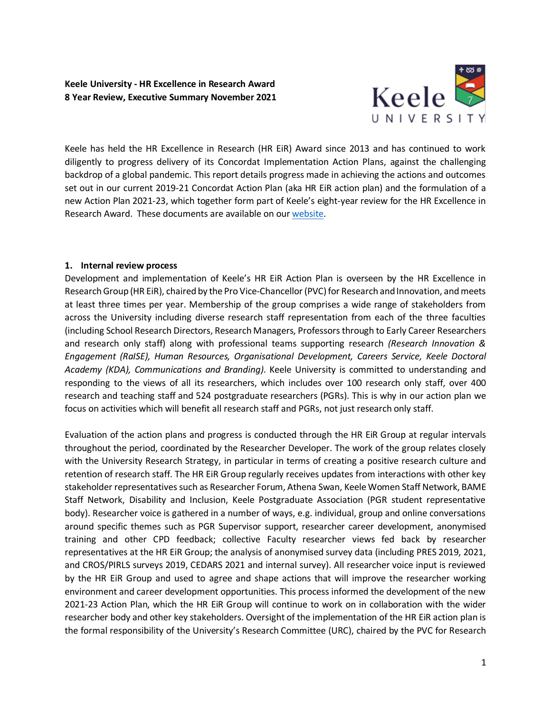**Keele University - HR Excellence in Research Award 8 Year Review, Executive Summary November 2021**



Keele has held the HR Excellence in Research (HR EiR) Award since 2013 and has continued to work diligently to progress delivery of its Concordat Implementation Action Plans, against the challenging backdrop of a global pandemic. This report details progress made in achieving the actions and outcomes set out in our current 2019-21 Concordat Action Plan (aka HR EiR action plan) and the formulation of a new Action Plan 2021-23, which together form part of Keele's eight-year review for the HR Excellence in Research Award. These documents are available on ou[r website.](https://www.keele.ac.uk/study/postgraduateresearch/kda/hrexcellenceaward/)

### **1. Internal review process**

Development and implementation of Keele's HR EiR Action Plan is overseen by the HR Excellence in Research Group (HR EiR), chaired by the Pro Vice-Chancellor (PVC) for Research and Innovation, and meets at least three times per year. Membership of the group comprises a wide range of stakeholders from across the University including diverse research staff representation from each of the three faculties (including School Research Directors, Research Managers, Professors through to Early Career Researchers and research only staff) along with professional teams supporting research *(Research Innovation & Engagement (RaISE), Human Resources, Organisational Development, Careers Service, Keele Doctoral Academy (KDA), Communications and Branding)*. Keele University is committed to understanding and responding to the views of all its researchers, which includes over 100 research only staff, over 400 research and teaching staff and 524 postgraduate researchers (PGRs). This is why in our action plan we focus on activities which will benefit all research staff and PGRs, not just research only staff.

Evaluation of the action plans and progress is conducted through the HR EiR Group at regular intervals throughout the period, coordinated by the Researcher Developer. The work of the group relates closely with the University Research Strategy, in particular in terms of creating a positive research culture and retention of research staff. The HR EiR Group regularly receives updates from interactions with other key stakeholder representatives such as Researcher Forum, Athena Swan, Keele Women Staff Network, BAME Staff Network, Disability and Inclusion, Keele Postgraduate Association (PGR student representative body). Researcher voice is gathered in a number of ways, e.g. individual, group and online conversations around specific themes such as PGR Supervisor support, researcher career development, anonymised training and other CPD feedback; collective Faculty researcher views fed back by researcher representatives at the HR EiR Group; the analysis of anonymised survey data (including PRES 2019, 2021, and CROS/PIRLS surveys 2019, CEDARS 2021 and internal survey). All researcher voice input is reviewed by the HR EiR Group and used to agree and shape actions that will improve the researcher working environment and career development opportunities. This process informed the development of the new 2021-23 Action Plan, which the HR EiR Group will continue to work on in collaboration with the wider researcher body and other key stakeholders. Oversight of the implementation of the HR EiR action plan is the formal responsibility of the University's Research Committee (URC), chaired by the PVC for Research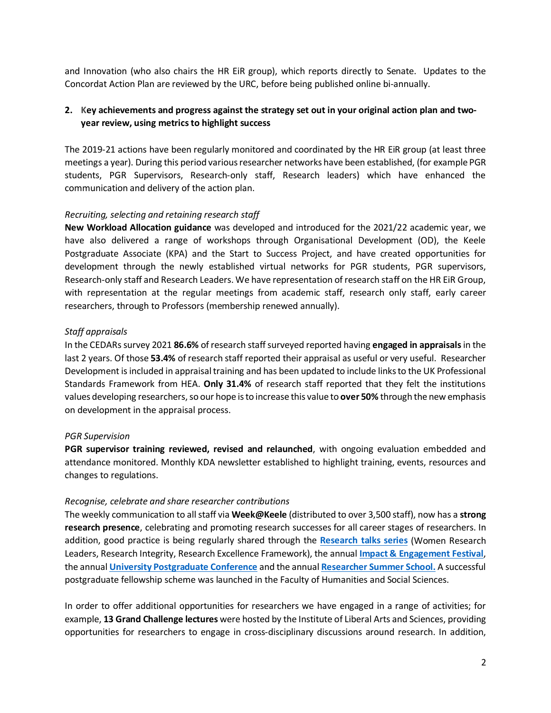and Innovation (who also chairs the HR EiR group), which reports directly to Senate. Updates to the Concordat Action Plan are reviewed by the URC, before being published online bi-annually.

# **2. Key achievements and progress against the strategy set out in your original action plan and twoyear review, using metrics to highlight success**

The 2019-21 actions have been regularly monitored and coordinated by the HR EiR group (at least three meetings a year). During this period various researcher networks have been established, (for example PGR students, PGR Supervisors, Research-only staff, Research leaders) which have enhanced the communication and delivery of the action plan.

### *Recruiting, selecting and retaining research staff*

**New Workload Allocation guidance** was developed and introduced for the 2021/22 academic year, we have also delivered a range of workshops through Organisational Development (OD), the Keele Postgraduate Associate (KPA) and the Start to Success Project, and have created opportunities for development through the newly established virtual networks for PGR students, PGR supervisors, Research-only staff and Research Leaders. We have representation of research staff on the HR EiR Group, with representation at the regular meetings from academic staff, research only staff, early career researchers, through to Professors (membership renewed annually).

## *Staff appraisals*

In the CEDARs survey 2021 **86.6%** of research staffsurveyed reported having **engaged in appraisals**in the last 2 years. Of those **53.4%** of research staff reported their appraisal as useful or very useful. Researcher Development is included in appraisal training and has been updated to include links to the UK Professional Standards Framework from HEA. **Only 31.4%** of research staff reported that they felt the institutions values developing researchers, so our hope is to increase this value to **over 50%** through the new emphasis on development in the appraisal process.

## *PGR Supervision*

**PGR supervisor training reviewed, revised and relaunched**, with ongoing evaluation embedded and attendance monitored. Monthly KDA newsletter established to highlight training, events, resources and changes to regulations.

#### *Recognise, celebrate and share researcher contributions*

The weekly communication to all staff via **Week@Keele** (distributed to over 3,500 staff), now has a **strong research presence**, celebrating and promoting research successes for all career stages of researchers. In addition, good practice is being regularly shared through the **[Research talks series](https://www.keele.ac.uk/research/raise/researchtalks/)** (Women Research Leaders, Research Integrity, Research Excellence Framework), the annual **[Impact & Engagement Festival](https://www.keele.ac.uk/research/engagementandimpact/eventsandtraining/impactandengagementfestival/)**, the annual **[University Postgraduate Conference](https://www.keele.ac.uk/ilas/conferences/ilaspostgraduateconference/keelepostgraduateconference2021/)** and the annual **[Researcher](https://www.keele.ac.uk/kiite/conferences/researchersummerschool) Summer School.** A successful postgraduate fellowship scheme was launched in the Faculty of Humanities and Social Sciences.

In order to offer additional opportunities for researchers we have engaged in a range of activities; for example, **13 Grand Challenge lectures** were hosted by the Institute of Liberal Arts and Sciences, providing opportunities for researchers to engage in cross-disciplinary discussions around research. In addition,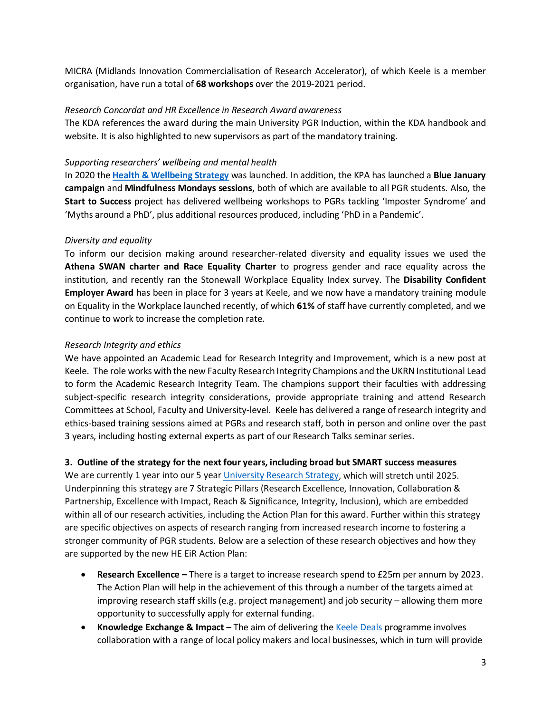MICRA (Midlands Innovation Commercialisation of Research Accelerator), of which Keele is a member organisation, have run a total of **68 workshops** over the 2019-2021 period.

### *Research Concordat and HR Excellence in Research Award awareness*

The KDA references the award during the main University PGR Induction, within the KDA handbook and website. It is also highlighted to new supervisors as part of the mandatory training.

### *Supporting researchers' wellbeing and mental health*

In 2020 the **[Health & Wellbeing Strategy](https://www.keele.ac.uk/occupational-health/healthandwellbeing/)** was launched. In addition, the KPA has launched a **Blue January campaign** and **Mindfulness Mondays sessions**, both of which are available to all PGR students. Also, the **Start to Success** project has delivered wellbeing workshops to PGRs tackling 'Imposter Syndrome' and 'Myths around a PhD', plus additional resources produced, including 'PhD in a Pandemic'.

## *Diversity and equality*

To inform our decision making around researcher-related diversity and equality issues we used the **Athena SWAN charter and Race Equality Charter** to progress gender and race equality across the institution, and recently ran the Stonewall Workplace Equality Index survey. The **Disability Confident Employer Award** has been in place for 3 years at Keele, and we now have a mandatory training module on Equality in the Workplace launched recently, of which **61%** of staff have currently completed, and we continue to work to increase the completion rate.

## *Research Integrity and ethics*

We have appointed an Academic Lead for Research Integrity and Improvement, which is a new post at Keele. The role works with the new Faculty Research Integrity Champions and the UKRN Institutional Lead to form the Academic Research Integrity Team. The champions support their faculties with addressing subject-specific research integrity considerations, provide appropriate training and attend Research Committees at School, Faculty and University-level. Keele has delivered a range of research integrity and ethics-based training sessions aimed at PGRs and research staff, both in person and online over the past 3 years, including hosting external experts as part of our Research Talks seminar series.

## **3. Outline of the strategy for the next four years, including broad but SMART success measures**

We are currently 1 year into our 5 yea[r University Research Strategy,](https://www.keele.ac.uk/about/strategicplanandmission/enablingstrategies/researchstrategy/) which will stretch until 2025. Underpinning this strategy are 7 Strategic Pillars (Research Excellence, Innovation, Collaboration & Partnership, Excellence with Impact, Reach & Significance, Integrity, Inclusion), which are embedded within all of our research activities, including the Action Plan for this award. Further within this strategy are specific objectives on aspects of research ranging from increased research income to fostering a stronger community of PGR students. Below are a selection of these research objectives and how they are supported by the new HE EiR Action Plan:

- **Research Excellence** There is a target to increase research spend to £25m per annum by 2023. The Action Plan will help in the achievement of this through a number of the targets aimed at improving research staff skills (e.g. project management) and job security – allowing them more opportunity to successfully apply for external funding.
- **Knowledge Exchange & Impact** The aim of delivering the [Keele Deals](https://www.keele.ac.uk/business/keeledeals/) programme involves collaboration with a range of local policy makers and local businesses, which in turn will provide